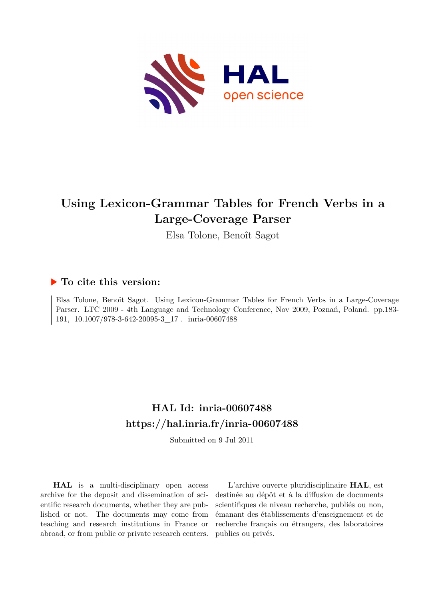

# **Using Lexicon-Grammar Tables for French Verbs in a Large-Coverage Parser**

Elsa Tolone, Benoît Sagot

## **To cite this version:**

Elsa Tolone, Benoît Sagot. Using Lexicon-Grammar Tables for French Verbs in a Large-Coverage Parser. LTC 2009 - 4th Language and Technology Conference, Nov 2009, Poznań, Poland. pp.183- 191, 10.1007/978-3-642-20095-3\_17 . inria-00607488

# **HAL Id: inria-00607488 <https://hal.inria.fr/inria-00607488>**

Submitted on 9 Jul 2011

**HAL** is a multi-disciplinary open access archive for the deposit and dissemination of scientific research documents, whether they are published or not. The documents may come from teaching and research institutions in France or abroad, or from public or private research centers.

L'archive ouverte pluridisciplinaire **HAL**, est destinée au dépôt et à la diffusion de documents scientifiques de niveau recherche, publiés ou non, émanant des établissements d'enseignement et de recherche français ou étrangers, des laboratoires publics ou privés.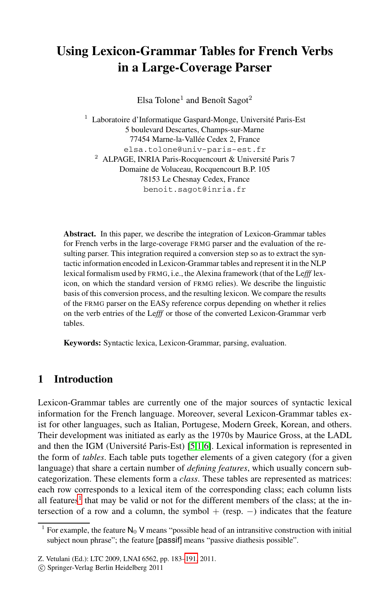## **Using Lexicon-Grammar Tables for French Verbs in a Large-Coverage Parser**

Elsa Tolone<sup>1</sup> and Benoît Sagot<sup>2</sup>

<sup>1</sup> Laboratoire d'Informatique Gaspard-Monge, Université Paris-Est 5 boulevard Descartes, Champs-sur-Marne 77454 Marne-la-Vallée Cedex 2, France <elsa.tolone@univ-paris-est.fr> <sup>2</sup> ALPAGE, INRIA Paris-Rocquencourt & Université Paris 7 Domaine de Voluceau, Rocquencourt B.P. 105 78153 Le Chesnay Cedex, France <benoit.sagot@inria.fr>

**Abstract.** In this paper, we describe the integration of Lexicon-Grammar tables for French verbs in the large-coverage FRMG parser and the evaluation of the resulting parser. This integration required a conversion step so as to extract the syntactic information encoded in Lexicon-Grammar tables and represent it in the NLP lexical formalism used by FRMG, i.e., the Alexina framework (that of the Le*fff* lexicon, on which the standard version of FRMG relies). We describe the linguistic basis of this conversion process, and the resulting lexicon. We compare the results of the FRMG parser on the EASy reference corpus depending on whether it relies on the verb entries of the Le*fff* or those of the converted Lexicon-Grammar verb tables.

**Keywords:** Syntactic lexica, Lexicon-Grammar, parsing, evaluation.

## **1 Introduction**

Lexicon-Grammar tables are currently one of the major sources of syntactic lexical information for the French language. Moreover, several Lexicon-Grammar tables exist for other languages, such as Italian, Portugese, Modern Greek, Korean, and others. Their development was initiated as early as the 1970s by Maurice Gross, at the LADL and then the IGM (Université Paris-Est) [5,1,6]. Lexical information is represented in the form of *tables*. Each table puts together elements of a given category (for a given language) that share a certain number of *defining features*, which usually concern subcategorization. These elements form a *class*. These tables are represented as matrices: each row corresponds to a lexical item of the corresponding class; each column lists all features<sup>1</sup> that may be valid or not for the different members of the class; at the intersection of a row and a column, the symbol + (resp. *−*) indicates that the feature

<sup>&</sup>lt;sup>1</sup> For example, the feature  $N_0$  V means "possible head of an intransitive construction with initial subject noun phrase"; the feature [passif] means "passive diathesis possible".

Z. Vetulani (Ed.): LTC 2009, LNAI 6562, pp. 183[–191,](#page-9-0) 2011.

<sup>-</sup>c Springer-Verlag Berlin Heidelberg 2011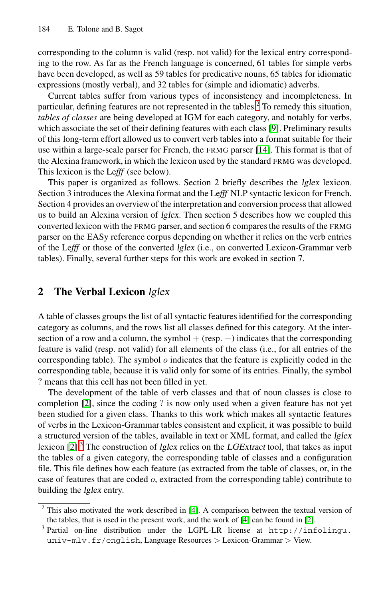corresponding to the column is valid (resp. not valid) for the lexical entry corresponding to the row. As far as the French language is concerned, 61 tables for simple verbs have been developed, as well as 59 tables for predicative nouns, 65 tables for idiomatic expressions (mostly verbal), and 32 tables for (simple and idiomatic) adverbs.

Current tables suffer from various types of inconsistency and incompleteness. In particular, defining features are not represented in the tables.<sup>2</sup> To remedy this situation, *tables of classes* are being developed at IGM for each category, and notably for verbs, which associate the set of their defining features with each class [9]. Preliminary results of this long-term effort allowed us to convert verb tables into a format suitable for their use within a large-scale parser for French, the FRMG parser [14]. This format is that of the Alexina framework, in which the lexicon used by the standard FRMG was developed. This lexicon is the Le*fff* (see below).

This paper is organized as follows. Section 2 briefly describes the lglex lexicon. Section 3 introduces the Alexina format and the Le*fff* NLP syntactic lexicon for French. Section 4 provides an overview of the interpretation and conversion process that allowed us to build an Alexina version of lglex. Then section 5 describes how we coupled this converted lexicon with the FRMG parser, and section 6 compares the results of the FRMG parser on the EASy reference corpus depending on whether it relies on the verb entries of the Le*fff* or those of the converted lglex (i.e., on converted Lexicon-Grammar verb tables). Finally, several further steps for this work are evoked in section 7.

### **2 The Verbal Lexicon** lglex

A table of classes groups the list of all syntactic features identified for the corresponding category as columns, and the rows list all classes defined for this category. At the intersection of a row and a column, the symbol + (resp. −) indicates that the corresponding feature is valid (resp. not valid) for all elements of the class (i.e., for all entries of the corresponding table). The symbol *o* indicates that the feature is explicitly coded in the corresponding table, because it is valid only for some of its entries. Finally, the symbol ? means that this cell has not been filled in yet.

The development of the table of verb classes and that of noun classes is close to completion [2], since the coding ? is now only used when a given feature has not yet been studied for a given class. Thanks to this work which makes all syntactic features of verbs in the Lexicon-Grammar tables consistent and explicit, it was possible to build a structured version of the tables, available in text or XML format, and called the lglex lexicon  $[2]$ <sup>3</sup>. The construction of *lglex* relies on the *LGExtract* tool, that takes as input the tables of a given category, the corresponding table of classes and a configuration file. This file defines how each feature (as extracted from the table of classes, or, in the case of features that are coded *o*, extracted from the corresponding table) contribute to building the lglex entry.

 $2$  This also motivated the work described in [4]. A comparison between the textual version of the tables, that is used in the present work, and the work of [4] can be found in [2].

<sup>&</sup>lt;sup>3</sup> Partial on-line distribution under the LGPL-LR license at [http://infolingu.](http://infolingu.univ-mlv.fr/english) [univ-mlv.fr/english](http://infolingu.univ-mlv.fr/english), Language Resources *>* Lexicon-Grammar *>* View.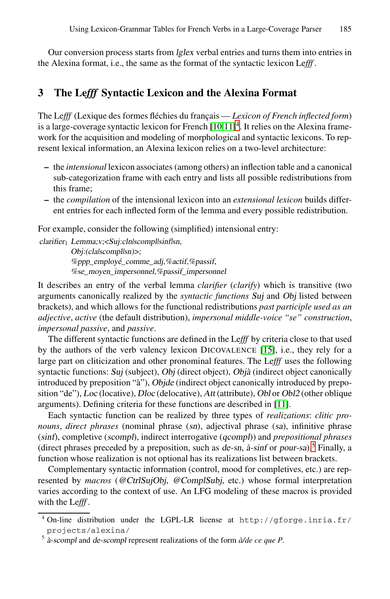Our conversion process starts from lglex verbal entries and turns them into entries in the Alexina format, i.e., the same as the format of the syntactic lexicon Le*fff* .

### **3 The Le***fff* **Syntactic Lexicon and the Alexina Format**

The Le*fff* (Lexique des formes fléchies du français — *Lexicon of French inflected form*) is a large-coverage syntactic lexicon for French  $[10,11]^4$ . It relies on the Alexina framework for the acquisition and modeling of morphological and syntactic lexicons. To represent lexical information, an Alexina lexicon relies on a two-level architecture:

- **–** the *intensional* lexicon associates (among others) an inflection table and a canonical sub-categorization frame with each entry and lists all possible redistributions from this frame;
- **–** the *compilation* of the intensional lexicon into an *extensional lexicon* builds different entries for each inflected form of the lemma and every possible redistribution.

For example, consider the following (simplified) intensional entry:

clarifier<sub>1</sub> Lemma;v;<Suj:cln|scompl|sinf|sn, Obj:(cla|scompl|sn)>; %ppp\_employé\_comme\_adj,%actif,%passif, %se\_moyen\_impersonnel,%passif\_impersonnel

It describes an entry of the verbal lemma *clarifier* (*clarify*) which is transitive (two arguments canonically realized by the *syntactic functions* Suj and Obj listed between brackets), and which allows for the functional redistributions *past participle used as an adjective*, *active* (the default distribution), *impersonal middle-voice "se" construction*, *impersonal passive*, and *passive*.

The different syntactic functions are defined in the Le*fff* by criteria close to that used by the authors of the verb valency lexicon DICOVALENCE [15], i.e., they rely for a large part on cliticization and other pronominal features. The Le*fff* uses the following syntactic functions: Suj (subject), Obj (direct object), Objà (indirect object canonically introduced by preposition "à"), Objde (indirect object canonically introduced by preposition "de"), Loc (locative), Dloc (delocative), Att (attribute), Obl or Obl2 (other oblique arguments). Defining criteria for these functions are described in [11].

Each syntactic function can be realized by three types of *realizations*: *clitic pronouns*, *direct phrases* (nominal phrase (sn), adjectival phrase (sa), infinitive phrase (sinf), completive (scompl), indirect interrogative (qcompl)) and *prepositional phrases* (direct phrases preceded by a preposition, such as de-sn,  $\hat{a}$ -sinf or pour-sa).<sup>5</sup> Finally, a function whose realization is not optional has its realizations list between brackets.

Complementary syntactic information (control, mood for completives, etc.) are represented by *macros* (@CtrlSujObj, @ComplSubj, etc.) whose formal interpretation varies according to the context of use. An LFG modeling of these macros is provided with the Le*fff* .

<sup>4</sup> On-line distribution under the LGPL-LR license at [http://gforge.inria.fr/](http://gforge.inria.fr/projects/alexina/) [projects/alexina/](http://gforge.inria.fr/projects/alexina/)

<sup>5</sup> à-scompl and de-scompl represent realizations of the form *à/de ce que P*.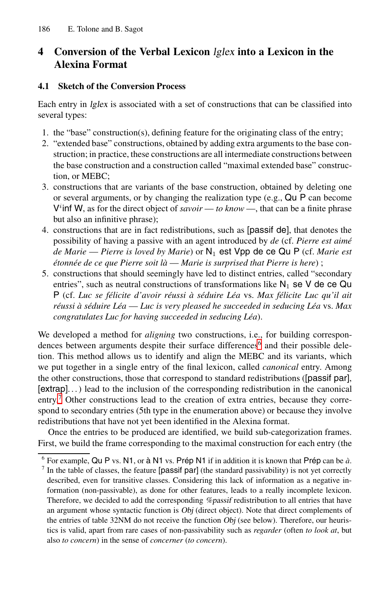## **4 Conversion of the Verbal Lexicon** lglex **into a Lexicon in the Alexina Format**

#### **4.1 Sketch of the Conversion Process**

Each entry in lglex is associated with a set of constructions that can be classified into several types:

- 1. the "base" construction(s), defining feature for the originating class of the entry;
- 2. "extended base" constructions, obtained by adding extra arguments to the base construction; in practice, these constructions are all intermediate constructions between the base construction and a construction called "maximal extended base" construction, or MEBC;
- 3. constructions that are variants of the base construction, obtained by deleting one or several arguments, or by changing the realization type (e.g., Qu P can become V*i* inf W, as for the direct object of *savoir* — *to know* —, that can be a finite phrase but also an infinitive phrase);
- 4. constructions that are in fact redistributions, such as [passif de], that denotes the possibility of having a passive with an agent introduced by *de* (cf. *Pierre est aimé de Marie* — *Pierre is loved by Marie*) or <sup>N</sup>1 est Vpp de ce Qu P (cf. *Marie est étonnée de ce que Pierre soit là* — *Marie is surprised that Pierre is here*) ;
- 5. constructions that should seemingly have led to distinct entries, called "secondary entries", such as neutral constructions of transformations like  $N_1$  se V de ce Qu P (cf. *Luc se félicite d'avoir réussi à séduire Léa* vs. *Max félicite Luc qu'il ait réussi à séduire Léa* — *Luc is very pleased he succeeded in seducing Léa* vs. *Max congratulates Luc for having succeeded in seducing Léa*).

We developed a method for *aligning* two constructions, i.e., for building correspondences between arguments despite their surface differences<sup>6</sup> and their possible deletion. This method allows us to identify and align the MEBC and its variants, which we put together in a single entry of the final lexicon, called *canonical* entry. Among the other constructions, those that correspond to standard redistributions ([passif par], [extrap]. . . ) lead to the inclusion of the corresponding redistribution in the canonical entry.<sup>7</sup> Other constructions lead to the creation of extra entries, because they correspond to secondary entries (5th type in the enumeration above) or because they involve redistributions that have not yet been identified in the Alexina format.

Once the entries to be produced are identified, we build sub-categorization frames. First, we build the frame corresponding to the maximal construction for each entry (the

<sup>&</sup>lt;sup>6</sup> For example, Qu P vs. N1, or  $\dot{\mathbf{a}}$  N1 vs. Prép N1 if in addition it is known that Prép can be  $\dot{a}$ .<br><sup>7</sup> In the table of classes, the feature [passif par] (the standard passivability) is not vet correctly

In the table of classes, the feature [passif par] (the standard passivability) is not yet correctly described, even for transitive classes. Considering this lack of information as a negative information (non-passivable), as done for other features, leads to a really incomplete lexicon. Therefore, we decided to add the corresponding %passif redistribution to all entries that have an argument whose syntactic function is Obj (direct object). Note that direct complements of the entries of table 32NM do not receive the function *Obj* (see below). Therefore, our heuristics is valid, apart from rare cases of non-passivability such as *regarder* (often *to look at*, but also *to concern*) in the sense of *concerner* (*to concern*).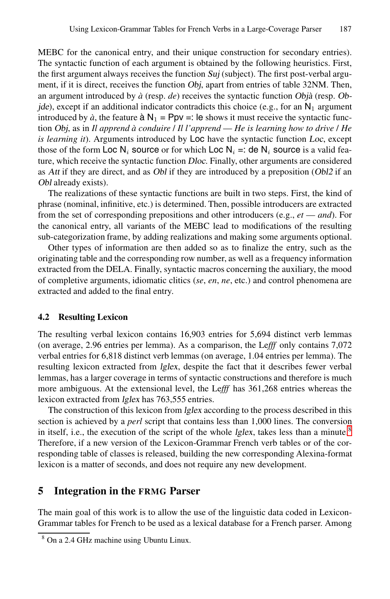MEBC for the canonical entry, and their unique construction for secondary entries). The syntactic function of each argument is obtained by the following heuristics. First, the first argument always receives the function Suj (subject). The first post-verbal argument, if it is direct, receives the function Obj, apart from entries of table 32NM. Then, an argument introduced by *à* (resp. *de*) receives the syntactic function Objà (resp. Ob*jde*), except if an additional indicator contradicts this choice (e.g., for an  $N_1$  argument introduced by  $\dot{a}$ , the feature  $\dot{a} N_1 = Ppv =$ : le shows it must receive the syntactic function Obj, as in *Il apprend à conduire* / *Il l'apprend* — *He is learning how to drive* / *He is learning it*). Arguments introduced by Loc have the syntactic function Loc, except those of the form Loc  $N_i$  source or for which Loc  $N_i =$ : de  $N_i$  source is a valid feature, which receive the syntactic function Dloc. Finally, other arguments are considered as Att if they are direct, and as Obl if they are introduced by a preposition (Obl2 if an Obl already exists).

The realizations of these syntactic functions are built in two steps. First, the kind of phrase (nominal, infinitive, etc.) is determined. Then, possible introducers are extracted from the set of corresponding prepositions and other introducers (e.g., *et* — *and*). For the canonical entry, all variants of the MEBC lead to modifications of the resulting sub-categorization frame, by adding realizations and making some arguments optional.

Other types of information are then added so as to finalize the entry, such as the originating table and the corresponding row number, as well as a frequency information extracted from the DELA. Finally, syntactic macros concerning the auxiliary, the mood of completive arguments, idiomatic clitics (*se*, *en*, *ne*, etc.) and control phenomena are extracted and added to the final entry.

#### **4.2 Resulting Lexicon**

The resulting verbal lexicon contains 16,903 entries for 5,694 distinct verb lemmas (on average, 2.96 entries per lemma). As a comparison, the Le*fff* only contains 7,072 verbal entries for 6,818 distinct verb lemmas (on average, 1.04 entries per lemma). The resulting lexicon extracted from lglex, despite the fact that it describes fewer verbal lemmas, has a larger coverage in terms of syntactic constructions and therefore is much more ambiguous. At the extensional level, the Le*fff* has 361,268 entries whereas the lexicon extracted from lglex has 763,555 entries.

The construction of this lexicon from *lglex* according to the process described in this section is achieved by a *perl* script that contains less than 1,000 lines. The conversion in itself, i.e., the execution of the script of the whole *lglex*, takes less than a minute.<sup>8</sup> Therefore, if a new version of the Lexicon-Grammar French verb tables or of the corresponding table of classes is released, building the new corresponding Alexina-format lexicon is a matter of seconds, and does not require any new development.

#### **5 Integration in the FRMG Parser**

The main goal of this work is to allow the use of the linguistic data coded in Lexicon-Grammar tables for French to be used as a lexical database for a French parser. Among

<sup>8</sup> On a 2.4 GHz machine using Ubuntu Linux.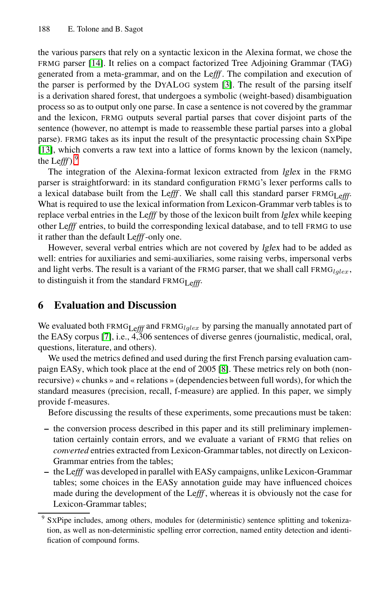the various parsers that rely on a syntactic lexicon in the Alexina format, we chose the FRMG parser [14]. It relies on a compact factorized Tree Adjoining Grammar (TAG) generated from a meta-grammar, and on the Le*fff* . The compilation and execution of the parser is performed by the DYALOG system [3]. The result of the parsing itself is a derivation shared forest, that undergoes a symbolic (weight-based) disambiguation process so as to output only one parse. In case a sentence is not covered by the grammar and the lexicon, FRMG outputs several partial parses that cover disjoint parts of the sentence (however, no attempt is made to reassemble these partial parses into a global parse). FRMG takes as its input the result of the presyntactic processing chain SXPipe [13], which converts a raw text into a lattice of forms known by the lexicon (namely, the Le*fff*).<sup>9</sup>

The integration of the Alexina-format lexicon extracted from lglex in the FRMG parser is straightforward: in its standard configuration FRMG's lexer performs calls to a lexical database built from the Lefff. We shall call this standard parser FRMG<sub>Lefff</sub>. What is required to use the lexical information from Lexicon-Grammar verb tables is to replace verbal entries in the Le*fff* by those of the lexicon built from lglex while keeping other Le*fff* entries, to build the corresponding lexical database, and to tell FRMG to use it rather than the default Le*fff*-only one.

However, several verbal entries which are not covered by *lglex* had to be added as well: entries for auxiliaries and semi-auxiliaries, some raising verbs, impersonal verbs and light verbs. The result is a variant of the FRMG parser, that we shall call FRMG*lglex*, to distinguish it from the standard FRMG<sub>Lefff</sub>.

## **6 Evaluation and Discussion**

We evaluated both FRMG<sub>Lefff</sub> and FRMG<sub>lglex</sub> by parsing the manually annotated part of the EASy corpus [7], i.e., 4,306 sentences of diverse genres (journalistic, medical, oral, questions, literature, and others).

We used the metrics defined and used during the first French parsing evaluation campaign EASy, which took place at the end of 2005 [8]. These metrics rely on both (nonrecursive) « chunks » and « relations » (dependencies between full words), for which the standard measures (precision, recall, f-measure) are applied. In this paper, we simply provide f-measures.

Before discussing the results of these experiments, some precautions must be taken:

- **–** the conversion process described in this paper and its still preliminary implementation certainly contain errors, and we evaluate a variant of FRMG that relies on *converted* entries extracted from Lexicon-Grammar tables, not directly on Lexicon-Grammar entries from the tables;
- **–** the Le*fff* was developed in parallel with EASy campaigns, unlike Lexicon-Grammar tables; some choices in the EASy annotation guide may have influenced choices made during the development of the Le*fff* , whereas it is obviously not the case for Lexicon-Grammar tables;

<sup>&</sup>lt;sup>9</sup> SXPipe includes, among others, modules for (deterministic) sentence splitting and tokenization, as well as non-deterministic spelling error correction, named entity detection and identification of compound forms.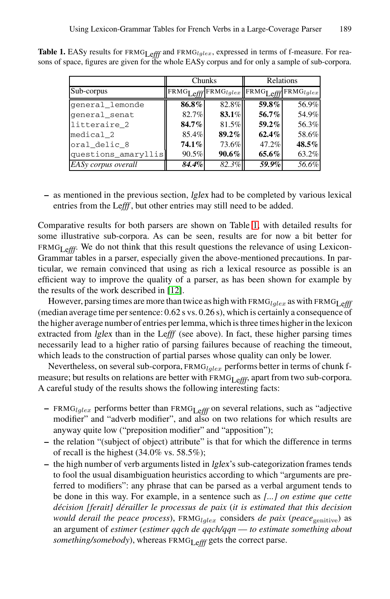|                     | <b>Chunks</b> |          | Relations                                                                                      |       |
|---------------------|---------------|----------|------------------------------------------------------------------------------------------------|-------|
| Sub-corpus          |               |          | $FRMG$ <sub>Lefff</sub> $FRMG$ <sub>lglex</sub> $RMG$ <sub>Lefff</sub> $FRMG$ <sub>lglex</sub> |       |
| general_lemonde     | 86.8%         | 82.8%    | 59.8%                                                                                          | 56.9% |
| general senat       | 82.7%         | 83.1%    | 56.7%                                                                                          | 54.9% |
| litteraire 2        | 84.7%         | 81.5%    | 59.2%                                                                                          | 56.3% |
| medical 2           | 85.4%         | $89.2\%$ | $62.4\%$                                                                                       | 58.6% |
| oral delic 8        | 74.1%         | 73.6%    | 47.2%                                                                                          | 48.5% |
| questions_amaryllis | $90.5\%$      | $90.6\%$ | 65.6%                                                                                          | 63.2% |
| EASy corpus overall | 84.4%         | 82.3%    | 59.9%                                                                                          | 56.6% |

Table 1. EASy results for FRMG<sub>Lefff</sub> and FRMG<sub>lglex</sub>, expressed in terms of f-measure. For reasons of space, figures are given for the whole EASy corpus and for only a sample of sub-corpora.

**–** as mentioned in the previous section, lglex had to be completed by various lexical entries from the Le*fff* , but other entries may still need to be added.

Comparative results for both parsers are shown on Table 1, with detailed results for some illustrative sub-corpora. As can be seen, results are for now a bit better for FRMG<sub>Lefff</sub>. We do not think that this result questions the relevance of using Lexicon-Grammar tables in a parser, especially given the above-mentioned precautions. In particular, we remain convinced that using as rich a lexical resource as possible is an efficient way to improve the quality of a parser, as has been shown for example by the results of the work described in [12].

However, parsing times are more than twice as high with  $\text{FRMG}_{lglex}$  as with  $\text{FRMG}_{l,eff}$ (median average time per sentence: 0.62 s vs. 0.26 s), which is certainly a consequence of the higher average number of entries per lemma, which is three times higher in the lexicon extracted from lglex than in the Le*fff* (see above). In fact, these higher parsing times necessarily lead to a higher ratio of parsing failures because of reaching the timeout, which leads to the construction of partial parses whose quality can only be lower.

Nevertheless, on several sub-corpora, FRMG*lglex* performs better in terms of chunk fmeasure; but results on relations are better with FRMG<sub>Lefff</sub>, apart from two sub-corpora. A careful study of the results shows the following interesting facts:

- **–** FRMG*lglex* performs better than FRMGLe*fff* on several relations, such as "adjective modifier" and "adverb modifier", and also on two relations for which results are anyway quite low ("preposition modifier" and "apposition");
- **–** the relation "(subject of object) attribute" is that for which the difference in terms of recall is the highest  $(34.0\% \text{ vs. } 58.5\%);$
- **–** the high number of verb arguments listed in lglex's sub-categorization frames tends to fool the usual disambiguation heuristics according to which "arguments are preferred to modifiers": any phrase that can be parsed as a verbal argument tends to be done in this way. For example, in a sentence such as *[...] on estime que cette décision [ferait] dérailler le processus de paix* (*it is estimated that this decision would derail the peace process*), FRMG<sub>lalex</sub> considers *de paix* (*peace*<sub>genitive</sub>) as an argument of *estimer* (*estimer qqch de qqch/qqn* — *to estimate something about something/somebody*), whereas FRMG<sub>Lefff</sub> gets the correct parse.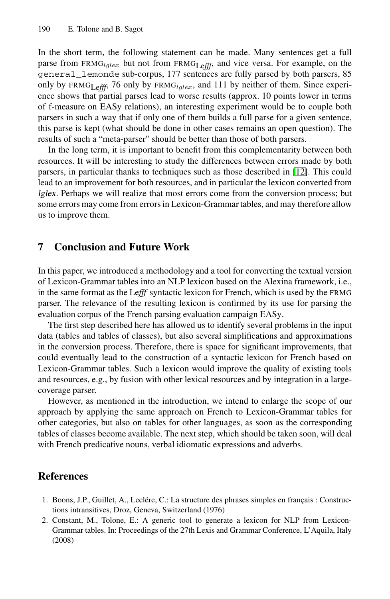In the short term, the following statement can be made. Many sentences get a full parse from FRMG*lglex* but not from FRMGLe*fff*, and vice versa. For example, on the general\_lemonde sub-corpus, 177 sentences are fully parsed by both parsers, 85 only by FRMGLe*fff*, 76 only by FRMG*lglex*, and 111 by neither of them. Since experience shows that partial parses lead to worse results (approx. 10 points lower in terms of f-measure on EASy relations), an interesting experiment would be to couple both parsers in such a way that if only one of them builds a full parse for a given sentence, this parse is kept (what should be done in other cases remains an open question). The results of such a "meta-parser" should be better than those of both parsers.

In the long term, it is important to benefit from this complementarity between both resources. It will be interesting to study the differences between errors made by both parsers, in particular thanks to techniques such as those described in [12]. This could lead to an improvement for both resources, and in particular the lexicon converted from lglex. Perhaps we will realize that most errors come from the conversion process; but some errors may come from errors in Lexicon-Grammar tables, and may therefore allow us to improve them.

## **7 Conclusion and Future Work**

In this paper, we introduced a methodology and a tool for converting the textual version of Lexicon-Grammar tables into an NLP lexicon based on the Alexina framework, i.e., in the same format as the Le*fff* syntactic lexicon for French, which is used by the FRMG parser. The relevance of the resulting lexicon is confirmed by its use for parsing the evaluation corpus of the French parsing evaluation campaign EASy.

The first step described here has allowed us to identify several problems in the input data (tables and tables of classes), but also several simplifications and approximations in the conversion process. Therefore, there is space for significant improvements, that could eventually lead to the construction of a syntactic lexicon for French based on Lexicon-Grammar tables. Such a lexicon would improve the quality of existing tools and resources, e.g., by fusion with other lexical resources and by integration in a largecoverage parser.

However, as mentioned in the introduction, we intend to enlarge the scope of our approach by applying the same approach on French to Lexicon-Grammar tables for other categories, but also on tables for other languages, as soon as the corresponding tables of classes become available. The next step, which should be taken soon, will deal with French predicative nouns, verbal idiomatic expressions and adverbs.

### **References**

- 1. Boons, J.P., Guillet, A., Leclére, C.: La structure des phrases simples en français : Constructions intransitives, Droz, Geneva, Switzerland (1976)
- 2. Constant, M., Tolone, E.: A generic tool to generate a lexicon for NLP from Lexicon-Grammar tables. In: Proceedings of the 27th Lexis and Grammar Conference, L'Aquila, Italy (2008)